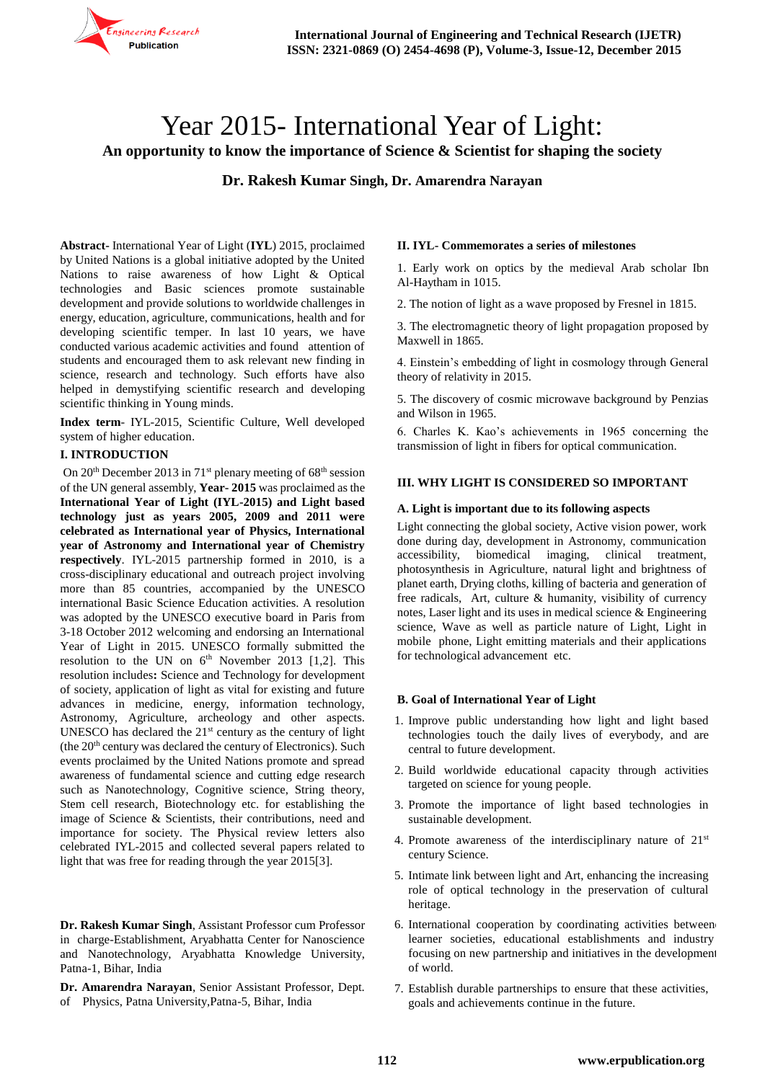

# Year 2015- International Year of Light:

**An opportunity to know the importance of Science & Scientist for shaping the society**

**Dr. Rakesh Kumar Singh, Dr. Amarendra Narayan**

**Abstract-** International Year of Light (**IYL**) 2015, proclaimed by United Nations is a global initiative adopted by the United Nations to raise awareness of how Light & Optical technologies and Basic sciences promote sustainable development and provide solutions to worldwide challenges in energy, education, agriculture, communications, health and for developing scientific temper. In last 10 years, we have conducted various academic activities and found attention of students and encouraged them to ask relevant new finding in science, research and technology. Such efforts have also helped in demystifying scientific research and developing scientific thinking in Young minds.

**Index term**- IYL-2015, Scientific Culture, Well developed system of higher education.

## **I. INTRODUCTION**

On  $20<sup>th</sup>$  December 2013 in  $71<sup>st</sup>$  plenary meeting of  $68<sup>th</sup>$  session of the UN general assembly, **Year- 2015** was proclaimed as the **International Year of Light (IYL-2015) and Light based technology just as years 2005, 2009 and 2011 were celebrated as International year of Physics, International year of Astronomy and International year of Chemistry respectively**. IYL-2015 partnership formed in 2010, is a cross-disciplinary educational and outreach project involving more than 85 countries, accompanied by the UNESCO international Basic Science Education activities. A resolution was adopted by the UNESCO executive board in Paris from 3-18 October 2012 welcoming and endorsing an International Year of Light in 2015. UNESCO formally submitted the resolution to the UN on  $6<sup>th</sup>$  November 2013 [1,2]. This resolution includes**:** Science and Technology for development of society, application of light as vital for existing and future advances in medicine, energy, information technology, Astronomy, Agriculture, archeology and other aspects. UNESCO has declared the  $21<sup>st</sup>$  century as the century of light (the  $20<sup>th</sup>$  century was declared the century of Electronics). Such events proclaimed by the United Nations promote and spread awareness of fundamental science and cutting edge research such as Nanotechnology, Cognitive science, String theory, Stem cell research, Biotechnology etc. for establishing the image of Science & Scientists, their contributions, need and importance for society. The Physical review letters also celebrated IYL-2015 and collected several papers related to light that was free for reading through the year 2015[3].

**Dr. Rakesh Kumar Singh**, Assistant Professor cum Professor in charge-Establishment, Aryabhatta Center for Nanoscience and Nanotechnology, Aryabhatta Knowledge University, Patna-1, Bihar, India

**Dr. Amarendra Narayan**, Senior Assistant Professor, Dept. of Physics, Patna University,Patna-5, Bihar, India

#### **II. IYL- Commemorates a series of milestones**

1. Early work on optics by the medieval Arab scholar Ibn Al-Haytham in 1015.

2. The notion of light as a wave proposed by Fresnel in 1815.

3. The electromagnetic theory of light propagation proposed by Maxwell in 1865.

4. Einstein's embedding of light in cosmology through General theory of relativity in 2015.

5. The discovery of cosmic microwave background by Penzias and Wilson in 1965.

6. Charles K. Kao's achievements in 1965 concerning the transmission of light in fibers for optical communication.

#### **III. WHY LIGHT IS CONSIDERED SO IMPORTANT**

#### **A. Light is important due to its following aspects**

Light connecting the global society, Active vision power, work done during day, development in Astronomy, communication accessibility, biomedical imaging, clinical treatment, photosynthesis in Agriculture, natural light and brightness of planet earth, Drying cloths, killing of bacteria and generation of free radicals, Art, culture & humanity, visibility of currency notes, Laser light and its uses in medical science & Engineering science, Wave as well as particle nature of Light, Light in mobile phone, Light emitting materials and their applications for technological advancement etc.

#### **B. Goal of International Year of Light**

- 1. Improve public understanding how light and light based technologies touch the daily lives of everybody, and are central to future development.
- 2. Build worldwide educational capacity through activities targeted on science for young people.
- 3. Promote the importance of light based technologies in sustainable development.
- 4. Promote awareness of the interdisciplinary nature of  $21<sup>st</sup>$ century Science.
- 5. Intimate link between light and Art, enhancing the increasing role of optical technology in the preservation of cultural heritage.
- 6. International cooperation by coordinating activities between learner societies, educational establishments and industry focusing on new partnership and initiatives in the development of world.
- 7. Establish durable partnerships to ensure that these activities, goals and achievements continue in the future.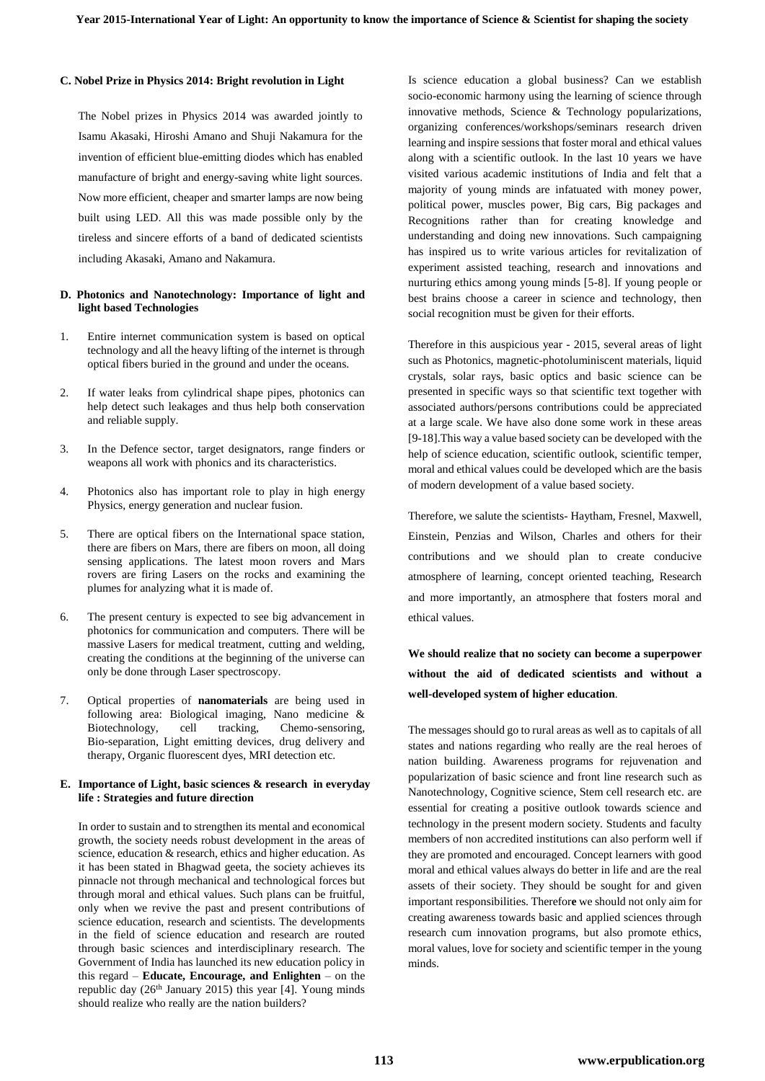### **C. Nobel Prize in Physics 2014: Bright revolution in Light**

The Nobel prizes in Physics 2014 was awarded jointly to Isamu Akasaki, Hiroshi Amano and Shuji Nakamura for the invention of efficient blue-emitting diodes which has enabled manufacture of bright and energy-saving white light sources. Now more efficient, cheaper and smarter lamps are now being built using LED. All this was made possible only by the tireless and sincere efforts of a band of dedicated scientists including Akasaki, Amano and Nakamura.

#### **D. Photonics and Nanotechnology: Importance of light and light based Technologies**

- 1. Entire internet communication system is based on optical technology and all the heavy lifting of the internet is through optical fibers buried in the ground and under the oceans.
- 2. If water leaks from cylindrical shape pipes, photonics can help detect such leakages and thus help both conservation and reliable supply.
- 3. In the Defence sector, target designators, range finders or weapons all work with phonics and its characteristics.
- 4. Photonics also has important role to play in high energy Physics, energy generation and nuclear fusion.
- 5. There are optical fibers on the International space station, there are fibers on Mars, there are fibers on moon, all doing sensing applications. The latest moon rovers and Mars rovers are firing Lasers on the rocks and examining the plumes for analyzing what it is made of.
- 6. The present century is expected to see big advancement in photonics for communication and computers. There will be massive Lasers for medical treatment, cutting and welding, creating the conditions at the beginning of the universe can only be done through Laser spectroscopy.
- 7. Optical properties of **nanomaterials** are being used in following area: Biological imaging, Nano medicine & Biotechnology, cell tracking, Chemo-sensoring, Bio-separation, Light emitting devices, drug delivery and therapy, Organic fluorescent dyes, MRI detection etc.

#### **E. Importance of Light, basic sciences & research in everyday life : Strategies and future direction**

In order to sustain and to strengthen its mental and economical growth, the society needs robust development in the areas of science, education & research, ethics and higher education. As it has been stated in Bhagwad geeta, the society achieves its pinnacle not through mechanical and technological forces but through moral and ethical values. Such plans can be fruitful, only when we revive the past and present contributions of science education, research and scientists. The developments in the field of science education and research are routed through basic sciences and interdisciplinary research. The Government of India has launched its new education policy in this regard – **Educate, Encourage, and Enlighten** – on the republic day (26<sup>th</sup> January 2015) this year [4]. Young minds should realize who really are the nation builders?

Is science education a global business? Can we establish socio-economic harmony using the learning of science through innovative methods, Science & Technology popularizations, organizing conferences/workshops/seminars research driven learning and inspire sessions that foster moral and ethical values along with a scientific outlook. In the last 10 years we have visited various academic institutions of India and felt that a majority of young minds are infatuated with money power, political power, muscles power, Big cars, Big packages and Recognitions rather than for creating knowledge and understanding and doing new innovations. Such campaigning has inspired us to write various articles for revitalization of experiment assisted teaching, research and innovations and nurturing ethics among young minds [5-8]. If young people or best brains choose a career in science and technology, then social recognition must be given for their efforts.

Therefore in this auspicious year - 2015, several areas of light such as Photonics, magnetic-photoluminiscent materials, liquid crystals, solar rays, basic optics and basic science can be presented in specific ways so that scientific text together with associated authors/persons contributions could be appreciated at a large scale. We have also done some work in these areas [9-18].This way a value based society can be developed with the help of science education, scientific outlook, scientific temper, moral and ethical values could be developed which are the basis of modern development of a value based society.

Therefore, we salute the scientists- Haytham, Fresnel, Maxwell, Einstein, Penzias and Wilson, Charles and others for their contributions and we should plan to create conducive atmosphere of learning, concept oriented teaching, Research and more importantly, an atmosphere that fosters moral and ethical values.

# **We should realize that no society can become a superpower without the aid of dedicated scientists and without a well-developed system of higher education**.

The messages should go to rural areas as well as to capitals of all states and nations regarding who really are the real heroes of nation building. Awareness programs for rejuvenation and popularization of basic science and front line research such as Nanotechnology, Cognitive science, Stem cell research etc. are essential for creating a positive outlook towards science and technology in the present modern society. Students and faculty members of non accredited institutions can also perform well if they are promoted and encouraged. Concept learners with good moral and ethical values always do better in life and are the real assets of their society. They should be sought for and given important responsibilities. Therefor**e** we should not only aim for creating awareness towards basic and applied sciences through research cum innovation programs, but also promote ethics, moral values, love for society and scientific temper in the young minds.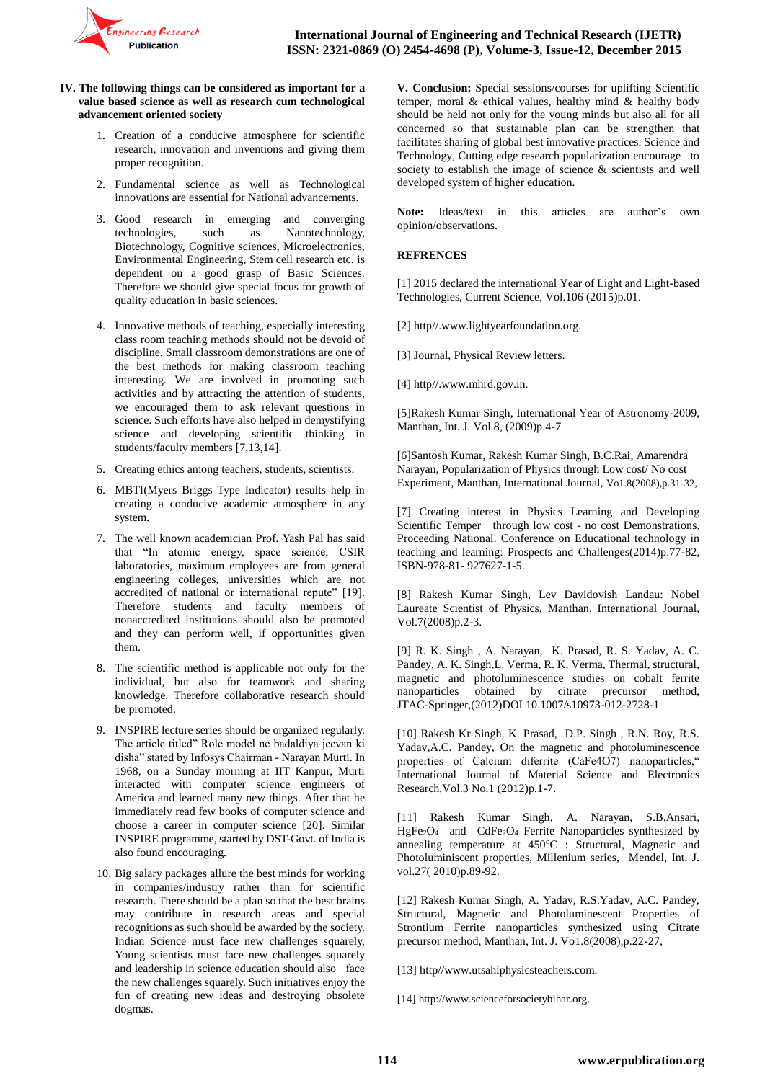

#### **IV. The following things can be considered as important for a value based science as well as research cum technological advancement oriented society**

- 1. Creation of a conducive atmosphere for scientific research, innovation and inventions and giving them proper recognition.
- 2. Fundamental science as well as Technological innovations are essential for National advancements.
- 3. Good research in emerging and converging technologies, such as Nanotechnology, Biotechnology, Cognitive sciences, Microelectronics, Environmental Engineering, Stem cell research etc. is dependent on a good grasp of Basic Sciences. Therefore we should give special focus for growth of quality education in basic sciences.
- 4. Innovative methods of teaching, especially interesting class room teaching methods should not be devoid of discipline. Small classroom demonstrations are one of the best methods for making classroom teaching interesting. We are involved in promoting such activities and by attracting the attention of students, we encouraged them to ask relevant questions in science. Such efforts have also helped in demystifying science and developing scientific thinking in students/faculty members [7,13,14].
- 5. Creating ethics among teachers, students, scientists.
- 6. MBTI(Myers Briggs Type Indicator) results help in creating a conducive academic atmosphere in any system.
- 7. The well known academician Prof. Yash Pal has said that "In atomic energy, space science, CSIR laboratories, maximum employees are from general engineering colleges, universities which are not accredited of national or international repute" [19]. Therefore students and faculty members of nonaccredited institutions should also be promoted and they can perform well, if opportunities given them.
- 8. The scientific method is applicable not only for the individual, but also for teamwork and sharing knowledge. Therefore collaborative research should be promoted.
- 9. INSPIRE lecture series should be organized regularly. The article titled" Role model ne badaldiya jeevan ki disha" stated by Infosys Chairman - Narayan Murti. In 1968, on a Sunday morning at IIT Kanpur, Murti interacted with computer science engineers of America and learned many new things. After that he immediately read few books of computer science and choose a career in computer science [20]. Similar INSPIRE programme, started by DST-Govt. of India is also found encouraging.
- 10. Big salary packages allure the best minds for working in companies/industry rather than for scientific research. There should be a plan so that the best brains may contribute in research areas and special recognitions as such should be awarded by the society. Indian Science must face new challenges squarely, Young scientists must face new challenges squarely and leadership in science education should also face the new challenges squarely. Such initiatives enjoy the fun of creating new ideas and destroying obsolete dogmas.

**V. Conclusion:** Special sessions/courses for uplifting Scientific temper, moral & ethical values, healthy mind & healthy body should be held not only for the young minds but also all for all concerned so that sustainable plan can be strengthen that facilitates sharing of global best innovative practices. Science and Technology, Cutting edge research popularization encourage to society to establish the image of science & scientists and well developed system of higher education.

**Note:** Ideas/text in this articles are author's own opinion/observations.

#### **REFRENCES**

[1] 2015 declared the international Year of Light and Light-based Technologies, Current Science, Vol.106 (2015)p.01.

[2] http//.www.lightyearfoundation.org.

[3] Journal, Physical Review letters.

[4] http//.www.mhrd.gov.in.

[5]Rakesh Kumar Singh, International Year of Astronomy-2009, Manthan, Int. J. Vol.8, (2009)p.4-7

[6]Santosh Kumar, Rakesh Kumar Singh, B.C.Rai, Amarendra Narayan, Popularization of Physics through Low cost/ No cost Experiment, Manthan, International Journal, Vo1.8(2008),p.31-32,

[7] Creating interest in Physics Learning and Developing Scientific Temper through low cost - no cost Demonstrations, Proceeding National. Conference on Educational technology in teaching and learning: Prospects and Challenges(2014)p.77-82, ISBN-978-81- 927627-1-5.

[8] Rakesh Kumar Singh, Lev Davidovish Landau: Nobel Laureate Scientist of Physics, Manthan, International Journal, Vol.7(2008)p.2-3.

[9] R. K. Singh , A. Narayan, K. Prasad, R. S. Yadav, A. C. Pandey, A. K. Singh,L. Verma, R. K. Verma, Thermal, structural, magnetic and photoluminescence studies on cobalt ferrite nanoparticles obtained by citrate precursor method, JTAC-Springer,(2012)DOI 10.1007/s10973-012-2728-1

[10] Rakesh Kr Singh, K. Prasad, D.P. Singh , R.N. Roy, R.S. Yadav,A.C. Pandey, On the magnetic and photoluminescence properties of Calcium diferrite (CaFe4O7) nanoparticles," International Journal of Material Science and Electronics Research,Vol.3 No.1 (2012)p.1-7.

[11] Rakesh Kumar Singh, A. Narayan, S.B.Ansari, HgFe<sub>2</sub>O<sub>4</sub> and CdFe<sub>2</sub>O<sub>4</sub> Ferrite Nanoparticles synthesized by annealing temperature at 450°C : Structural, Magnetic and Photoluminiscent properties, Millenium series, Mendel, Int. J. vol.27( 2010)p.89-92.

[12] Rakesh Kumar Singh, A. Yadav, R.S.Yadav, A.C. Pandey, Structural, Magnetic and Photoluminescent Properties of Strontium Ferrite nanoparticles synthesized using Citrate precursor method, Manthan, Int. J. Vo1.8(2008),p.22-27,

[13] http//www.utsahiphysicsteachers.com.

[14] [http://www.scienceforsocietybihar.org.](http://www.scienceforsocietybihar.org/)